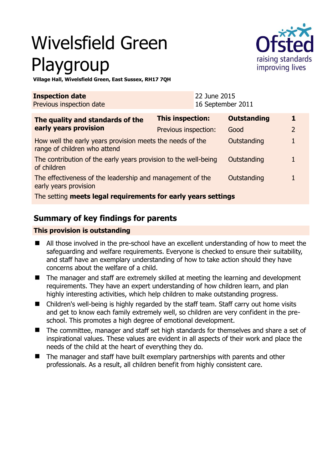# Wivelsfield Green Playgroup



**Village Hall, Wivelsfield Green, East Sussex, RH17 7QH** 

| <b>Inspection date</b><br>Previous inspection date                                        |                         | 22 June 2015<br>16 September 2011 |                    |                |
|-------------------------------------------------------------------------------------------|-------------------------|-----------------------------------|--------------------|----------------|
| The quality and standards of the<br>early years provision                                 | <b>This inspection:</b> |                                   | <b>Outstanding</b> | 1              |
|                                                                                           | Previous inspection:    |                                   | Good               | $\overline{2}$ |
| How well the early years provision meets the needs of the<br>range of children who attend |                         |                                   | Outstanding        |                |
| The contribution of the early years provision to the well-being<br>of children            |                         |                                   | Outstanding        |                |
| The effectiveness of the leadership and management of the<br>early years provision        |                         |                                   | Outstanding        |                |
| The setting meets legal requirements for early years settings                             |                         |                                   |                    |                |

## **Summary of key findings for parents**

#### **This provision is outstanding**

- All those involved in the pre-school have an excellent understanding of how to meet the safeguarding and welfare requirements. Everyone is checked to ensure their suitability, and staff have an exemplary understanding of how to take action should they have concerns about the welfare of a child.
- The manager and staff are extremely skilled at meeting the learning and development requirements. They have an expert understanding of how children learn, and plan highly interesting activities, which help children to make outstanding progress.
- Children's well-being is highly regarded by the staff team. Staff carry out home visits and get to know each family extremely well, so children are very confident in the preschool. This promotes a high degree of emotional development.
- The committee, manager and staff set high standards for themselves and share a set of inspirational values. These values are evident in all aspects of their work and place the needs of the child at the heart of everything they do.
- The manager and staff have built exemplary partnerships with parents and other professionals. As a result, all children benefit from highly consistent care.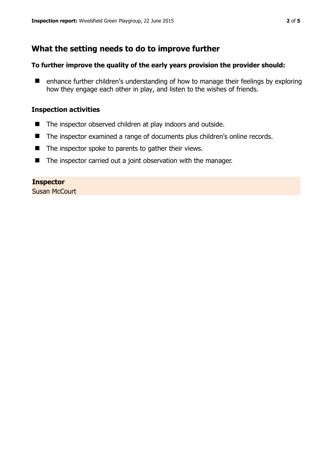## **What the setting needs to do to improve further**

#### **To further improve the quality of the early years provision the provider should:**

■ enhance further children's understanding of how to manage their feelings by exploring how they engage each other in play, and listen to the wishes of friends.

#### **Inspection activities**

- The inspector observed children at play indoors and outside.
- The inspector examined a range of documents plus children's online records.
- $\blacksquare$  The inspector spoke to parents to gather their views.
- The inspector carried out a joint observation with the manager.

#### **Inspector**

Susan McCourt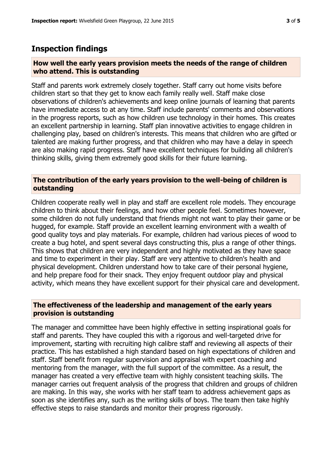### **Inspection findings**

#### **How well the early years provision meets the needs of the range of children who attend. This is outstanding**

Staff and parents work extremely closely together. Staff carry out home visits before children start so that they get to know each family really well. Staff make close observations of children's achievements and keep online journals of learning that parents have immediate access to at any time. Staff include parents' comments and observations in the progress reports, such as how children use technology in their homes. This creates an excellent partnership in learning. Staff plan innovative activities to engage children in challenging play, based on children's interests. This means that children who are gifted or talented are making further progress, and that children who may have a delay in speech are also making rapid progress. Staff have excellent techniques for building all children's thinking skills, giving them extremely good skills for their future learning.

#### **The contribution of the early years provision to the well-being of children is outstanding**

Children cooperate really well in play and staff are excellent role models. They encourage children to think about their feelings, and how other people feel. Sometimes however, some children do not fully understand that friends might not want to play their game or be hugged, for example. Staff provide an excellent learning environment with a wealth of good quality toys and play materials. For example, children had various pieces of wood to create a bug hotel, and spent several days constructing this, plus a range of other things. This shows that children are very independent and highly motivated as they have space and time to experiment in their play. Staff are very attentive to children's health and physical development. Children understand how to take care of their personal hygiene, and help prepare food for their snack. They enjoy frequent outdoor play and physical activity, which means they have excellent support for their physical care and development.

#### **The effectiveness of the leadership and management of the early years provision is outstanding**

The manager and committee have been highly effective in setting inspirational goals for staff and parents. They have coupled this with a rigorous and well-targeted drive for improvement, starting with recruiting high calibre staff and reviewing all aspects of their practice. This has established a high standard based on high expectations of children and staff. Staff benefit from regular supervision and appraisal with expert coaching and mentoring from the manager, with the full support of the committee. As a result, the manager has created a very effective team with highly consistent teaching skills. The manager carries out frequent analysis of the progress that children and groups of children are making. In this way, she works with her staff team to address achievement gaps as soon as she identifies any, such as the writing skills of boys. The team then take highly effective steps to raise standards and monitor their progress rigorously.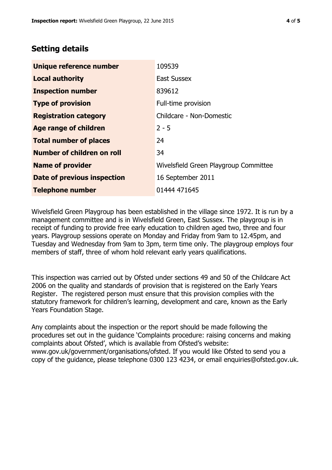## **Setting details**

| Unique reference number       | 109539                                |  |
|-------------------------------|---------------------------------------|--|
| <b>Local authority</b>        | <b>East Sussex</b>                    |  |
| <b>Inspection number</b>      | 839612                                |  |
| <b>Type of provision</b>      | Full-time provision                   |  |
| <b>Registration category</b>  | Childcare - Non-Domestic              |  |
| <b>Age range of children</b>  | $2 - 5$                               |  |
| <b>Total number of places</b> | 24                                    |  |
| Number of children on roll    | 34                                    |  |
| <b>Name of provider</b>       | Wivelsfield Green Playgroup Committee |  |
| Date of previous inspection   | 16 September 2011                     |  |
| <b>Telephone number</b>       | 01444 471645                          |  |

Wivelsfield Green Playgroup has been established in the village since 1972. It is run by a management committee and is in Wivelsfield Green, East Sussex. The playgroup is in receipt of funding to provide free early education to children aged two, three and four years. Playgroup sessions operate on Monday and Friday from 9am to 12.45pm, and Tuesday and Wednesday from 9am to 3pm, term time only. The playgroup employs four members of staff, three of whom hold relevant early years qualifications.

This inspection was carried out by Ofsted under sections 49 and 50 of the Childcare Act 2006 on the quality and standards of provision that is registered on the Early Years Register. The registered person must ensure that this provision complies with the statutory framework for children's learning, development and care, known as the Early Years Foundation Stage.

Any complaints about the inspection or the report should be made following the procedures set out in the guidance 'Complaints procedure: raising concerns and making complaints about Ofsted', which is available from Ofsted's website: www.gov.uk/government/organisations/ofsted. If you would like Ofsted to send you a copy of the guidance, please telephone 0300 123 4234, or email enquiries@ofsted.gov.uk.